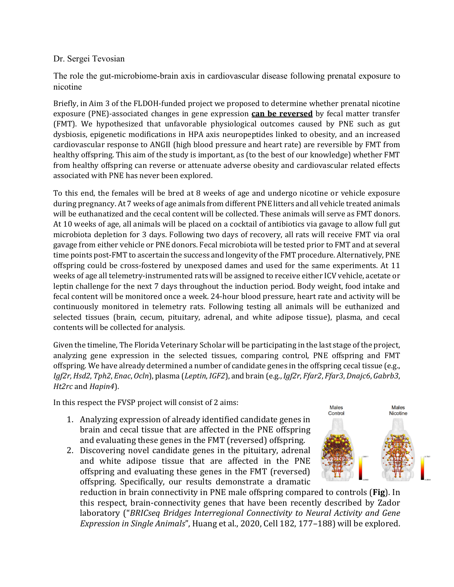## Dr. Sergei Tevosian

The role the gut-microbiome-brain axis in cardiovascular disease following prenatal exposure to nicotine

Briefly, in Aim 3 of the FLDOH-funded project we proposed to determine whether prenatal nicotine exposure (PNE)-associated changes in gene expression **can be reversed** by fecal matter transfer (FMT). We hypothesized that unfavorable physiological outcomes caused by PNE such as gut dysbiosis, epigenetic modifications in HPA axis neuropeptides linked to obesity, and an increased cardiovascular response to ANGII (high blood pressure and heart rate) are reversible by FMT from healthy offspring. This aim of the study is important, as (to the best of our knowledge) whether FMT from healthy offspring can reverse or attenuate adverse obesity and cardiovascular related effects associated with PNE has never been explored.

To this end, the females will be bred at 8 weeks of age and undergo nicotine or vehicle exposure during pregnancy. At 7 weeks of age animals from different PNE litters and all vehicle treated animals will be euthanatized and the cecal content will be collected. These animals will serve as FMT donors. At 10 weeks of age, all animals will be placed on a cocktail of antibiotics via gavage to allow full gut microbiota depletion for 3 days. Following two days of recovery, all rats will receive FMT via oral gavage from either vehicle or PNE donors. Fecal microbiota will be tested prior to FMT and at several time points post-FMT to ascertain the success and longevity of the FMT procedure. Alternatively, PNE offspring could be cross-fostered by unexposed dames and used for the same experiments. At 11 weeks of age all telemetry-instrumented rats will be assigned to receive either ICV vehicle, acetate or leptin challenge for the next 7 days throughout the induction period. Body weight, food intake and fecal content will be monitored once a week. 24-hour blood pressure, heart rate and activity will be continuously monitored in telemetry rats. Following testing all animals will be euthanized and selected tissues (brain, cecum, pituitary, adrenal, and white adipose tissue), plasma, and cecal contents will be collected for analysis.

Given the timeline, The Florida Veterinary Scholar will be participating in the last stage of the project, analyzing gene expression in the selected tissues, comparing control, PNE offspring and FMT offspring. We have already determined a number of candidate genes in the offspring cecal tissue (e.g., *Igf2r,Hsd2*, *Tph2*, *Enac*, *Ocln*), plasma (*Leptin*, *IGF2*), and brain (e.g., *Igf2r*, *Ffar2*, *Ffar3*, *Dnajc6*, *Gabrb3*, *Ht2rc* and *Hapin4*).

In this respect the FVSP project will consist of 2 aims:

- 1. Analyzing expression of already identified candidate genes in brain and cecal tissue that are affected in the PNE offspring and evaluating these genes in the FMT (reversed) offspring.
- 2. Discovering novel candidate genes in the pituitary, adrenal and white adipose tissue that are affected in the PNE offspring and evaluating these genes in the FMT (reversed) offspring. Specifically, our results demonstrate a dramatic



reduction in brain connectivity in PNE male offspring compared to controls (**Fig**). In this respect, brain-connectivity genes that have been recently described by Zador laboratory ("*BRICseq Bridges Interregional Connectivity to Neural Activity and Gene Expression in Single Animals*", Huang et al., 2020, Cell 182, 177–188) will be explored.